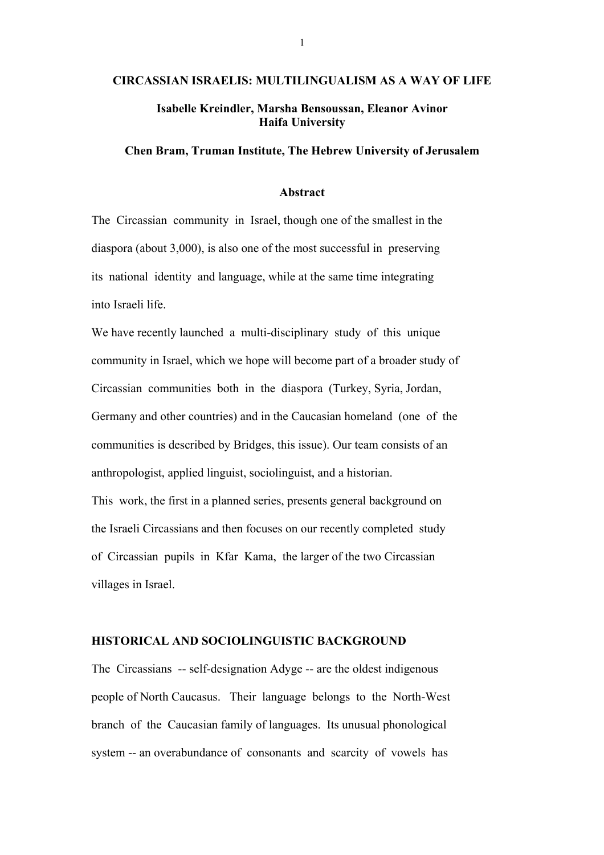# CIRCASSIAN ISRAELIS: MULTILINGUALISM AS A WAY OF LIFE

# Isabelle Kreindler, Marsha Bensoussan, Eleanor Avinor Haifa University

## Chen Bram, Truman Institute, The Hebrew University of Jerusalem

### Abstract

The Circassian community in Israel, though one of the smallest in the diaspora (about 3,000), is also one of the most successful in preserving its national identity and language, while at the same time integrating into Israeli life.

We have recently launched a multi-disciplinary study of this unique community in Israel, which we hope will become part of a broader study of Circassian communities both in the diaspora (Turkey, Syria, Jordan, Germany and other countries) and in the Caucasian homeland (one of the communities is described by Bridges, this issue). Our team consists of an anthropologist, applied linguist, sociolinguist, and a historian. This work, the first in a planned series, presents general background on the Israeli Circassians and then focuses on our recently completed study of Circassian pupils in Kfar Kama, the larger of the two Circassian villages in Israel.

## HISTORICAL AND SOCIOLINGUISTIC BACKGROUND

The Circassians -- self-designation Adyge -- are the oldest indigenous people of North Caucasus. Their language belongs to the North-West branch of the Caucasian family of languages. Its unusual phonological system -- an overabundance of consonants and scarcity of vowels has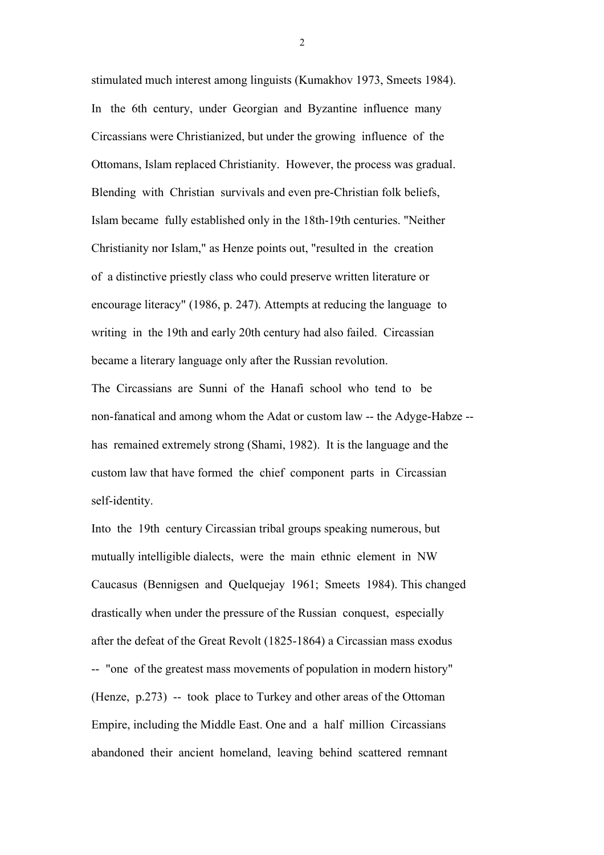stimulated much interest among linguists (Kumakhov 1973, Smeets 1984). In the 6th century, under Georgian and Byzantine influence many Circassians were Christianized, but under the growing influence of the Ottomans, Islam replaced Christianity. However, the process was gradual. Blending with Christian survivals and even pre-Christian folk beliefs, Islam became fully established only in the 18th-19th centuries. "Neither Christianity nor Islam," as Henze points out, "resulted in the creation of a distinctive priestly class who could preserve written literature or encourage literacy" (1986, p. 247). Attempts at reducing the language to writing in the 19th and early 20th century had also failed. Circassian became a literary language only after the Russian revolution.

The Circassians are Sunni of the Hanafi school who tend to be non-fanatical and among whom the Adat or custom law -- the Adyge-Habze - has remained extremely strong (Shami, 1982). It is the language and the custom law that have formed the chief component parts in Circassian self-identity.

Into the 19th century Circassian tribal groups speaking numerous, but mutually intelligible dialects, were the main ethnic element in NW Caucasus (Bennigsen and Quelquejay 1961; Smeets 1984). This changed drastically when under the pressure of the Russian conquest, especially after the defeat of the Great Revolt (1825-1864) a Circassian mass exodus -- "one of the greatest mass movements of population in modern history" (Henze, p.273) -- took place to Turkey and other areas of the Ottoman Empire, including the Middle East. One and a half million Circassians abandoned their ancient homeland, leaving behind scattered remnant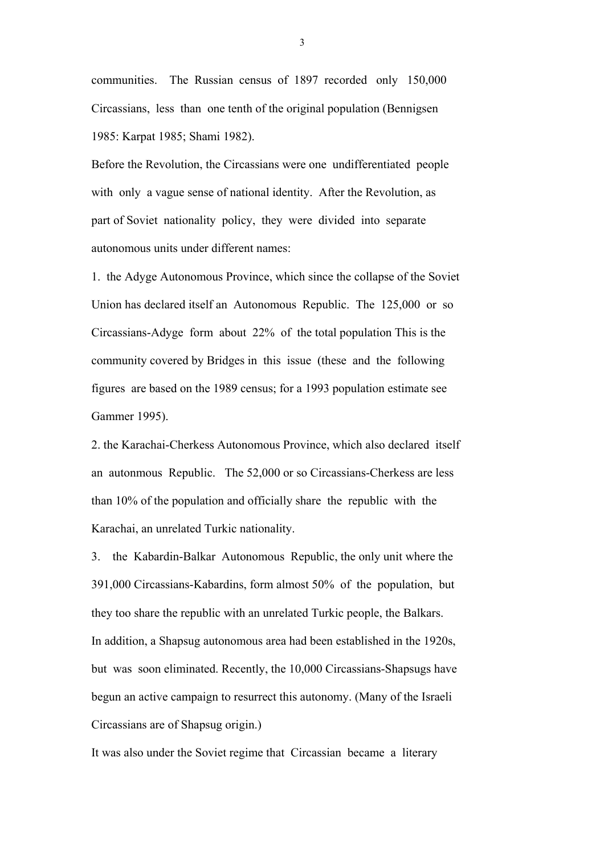communities. The Russian census of 1897 recorded only 150,000 Circassians, less than one tenth of the original population (Bennigsen 1985: Karpat 1985; Shami 1982).

Before the Revolution, the Circassians were one undifferentiated people with only a vague sense of national identity. After the Revolution, as part of Soviet nationality policy, they were divided into separate autonomous units under different names:

1. the Adyge Autonomous Province, which since the collapse of the Soviet Union has declared itself an Autonomous Republic. The 125,000 or so Circassians-Adyge form about 22% of the total population This is the community covered by Bridges in this issue (these and the following figures are based on the 1989 census; for a 1993 population estimate see Gammer 1995).

2. the Karachai-Cherkess Autonomous Province, which also declared itself an autonmous Republic. The 52,000 or so Circassians-Cherkess are less than 10% of the population and officially share the republic with the Karachai, an unrelated Turkic nationality.

3. the Kabardin-Balkar Autonomous Republic, the only unit where the 391,000 Circassians-Kabardins, form almost 50% of the population, but they too share the republic with an unrelated Turkic people, the Balkars. In addition, a Shapsug autonomous area had been established in the 1920s, but was soon eliminated. Recently, the 10,000 Circassians-Shapsugs have begun an active campaign to resurrect this autonomy. (Many of the Israeli Circassians are of Shapsug origin.)

It was also under the Soviet regime that Circassian became a literary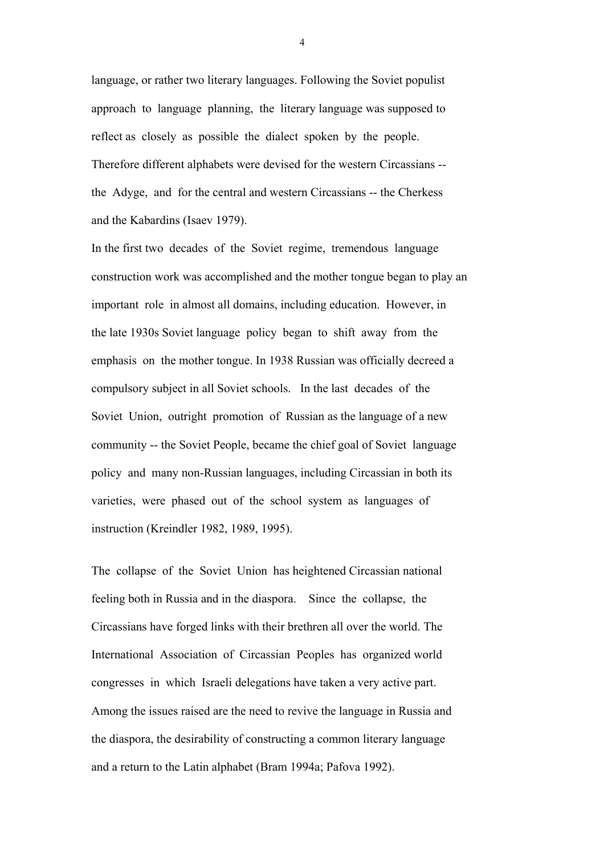language, or rather two literary languages. Following the Soviet populist approach to language planning, the literary language was supposed to reflect as closely as possible the dialect spoken by the people. Therefore different alphabets were devised for the western Circassians - the Adyge, and for the central and western Circassians -- the Cherkess and the Kabardins (Isaev 1979).

In the first two decades of the Soviet regime, tremendous language construction work was accomplished and the mother tongue began to play an important role in almost all domains, including education. However, in the late 1930s Soviet language policy began to shift away from the emphasis on the mother tongue. In 1938 Russian was officially decreed a compulsory subject in all Soviet schools. In the last decades of the Soviet Union, outright promotion of Russian as the language of a new community -- the Soviet People, became the chief goal of Soviet language policy and many non-Russian languages, including Circassian in both its varieties, were phased out of the school system as languages of instruction (Kreindler 1982, 1989, 1995).

The collapse of the Soviet Union has heightened Circassian national feeling both in Russia and in the diaspora. Since the collapse, the Circassians have forged links with their brethren all over the world. The International Association of Circassian Peoples has organized world congresses in which Israeli delegations have taken a very active part. Among the issues raised are the need to revive the language in Russia and the diaspora, the desirability of constructing a common literary language and a return to the Latin alphabet (Bram 1994a; Pafova 1992).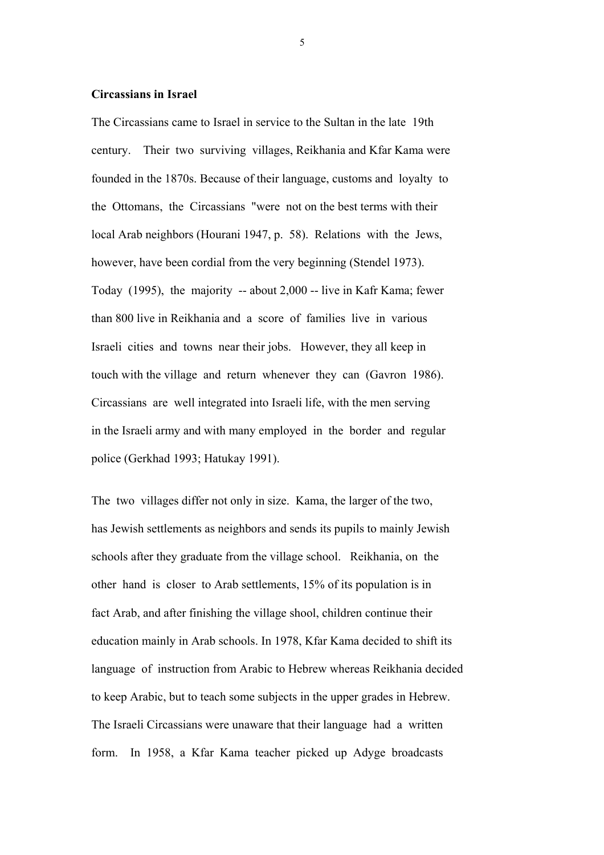## Circassians in Israel

The Circassians came to Israel in service to the Sultan in the late 19th century. Their two surviving villages, Reikhania and Kfar Kama were founded in the 1870s. Because of their language, customs and loyalty to the Ottomans, the Circassians "were not on the best terms with their local Arab neighbors (Hourani 1947, p. 58). Relations with the Jews, however, have been cordial from the very beginning (Stendel 1973). Today (1995), the majority -- about 2,000 -- live in Kafr Kama; fewer than 800 live in Reikhania and a score of families live in various Israeli cities and towns near their jobs. However, they all keep in touch with the village and return whenever they can (Gavron 1986). Circassians are well integrated into Israeli life, with the men serving in the Israeli army and with many employed in the border and regular police (Gerkhad 1993; Hatukay 1991).

The two villages differ not only in size. Kama, the larger of the two, has Jewish settlements as neighbors and sends its pupils to mainly Jewish schools after they graduate from the village school. Reikhania, on the other hand is closer to Arab settlements, 15% of its population is in fact Arab, and after finishing the village shool, children continue their education mainly in Arab schools. In 1978, Kfar Kama decided to shift its language of instruction from Arabic to Hebrew whereas Reikhania decided to keep Arabic, but to teach some subjects in the upper grades in Hebrew. The Israeli Circassians were unaware that their language had a written form. In 1958, a Kfar Kama teacher picked up Adyge broadcasts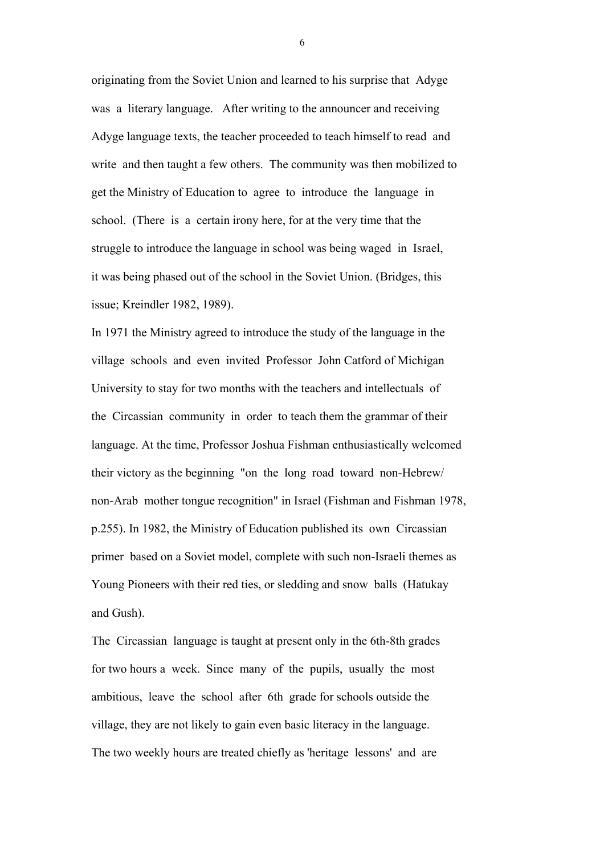originating from the Soviet Union and learned to his surprise that Adyge was a literary language. After writing to the announcer and receiving Adyge language texts, the teacher proceeded to teach himself to read and write and then taught a few others. The community was then mobilized to get the Ministry of Education to agree to introduce the language in school. (There is a certain irony here, for at the very time that the struggle to introduce the language in school was being waged in Israel, it was being phased out of the school in the Soviet Union. (Bridges, this issue; Kreindler 1982, 1989).

In 1971 the Ministry agreed to introduce the study of the language in the village schools and even invited Professor John Catford of Michigan University to stay for two months with the teachers and intellectuals of the Circassian community in order to teach them the grammar of their language. At the time, Professor Joshua Fishman enthusiastically welcomed their victory as the beginning "on the long road toward non-Hebrew/ non-Arab mother tongue recognition" in Israel (Fishman and Fishman 1978, p.255). In 1982, the Ministry of Education published its own Circassian primer based on a Soviet model, complete with such non-Israeli themes as Young Pioneers with their red ties, or sledding and snow balls (Hatukay and Gush).

The Circassian language is taught at present only in the 6th-8th grades for two hours a week. Since many of the pupils, usually the most ambitious, leave the school after 6th grade for schools outside the village, they are not likely to gain even basic literacy in the language. The two weekly hours are treated chiefly as 'heritage lessons' and are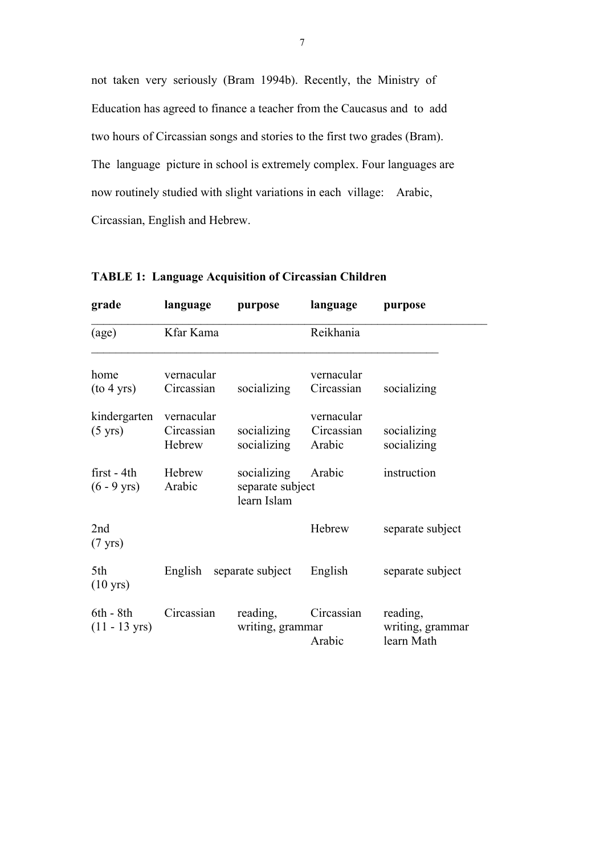not taken very seriously (Bram 1994b). Recently, the Ministry of Education has agreed to finance a teacher from the Caucasus and to add two hours of Circassian songs and stories to the first two grades (Bram). The language picture in school is extremely complex. Four languages are now routinely studied with slight variations in each village: Arabic, Circassian, English and Hebrew.

| grade                                  | language                           | purpose                                        | language                           | purpose                                    |
|----------------------------------------|------------------------------------|------------------------------------------------|------------------------------------|--------------------------------------------|
| (age)                                  | Kfar Kama                          |                                                | Reikhania                          |                                            |
| home<br>(to 4 yrs)                     | vernacular<br>Circassian           | socializing                                    | vernacular<br>Circassian           | socializing                                |
| kindergarten<br>$(5 \text{ yrs})$      | vernacular<br>Circassian<br>Hebrew | socializing<br>socializing                     | vernacular<br>Circassian<br>Arabic | socializing<br>socializing                 |
| $first - 4th$<br>$(6 - 9 \text{ yrs})$ | Hebrew<br>Arabic                   | socializing<br>separate subject<br>learn Islam | Arabic                             | instruction                                |
| 2nd<br>$(7 \text{ yrs})$               |                                    |                                                | Hebrew                             | separate subject                           |
| 5th<br>$(10 \text{ yrs})$              | English separate subject           |                                                | English                            | separate subject                           |
| $6th - 8th$<br>$(11 - 13 \text{ yrs})$ | Circassian                         | reading,<br>writing, grammar                   | Circassian<br>Arabic               | reading,<br>writing, grammar<br>learn Math |

TABLE 1: Language Acquisition of Circassian Children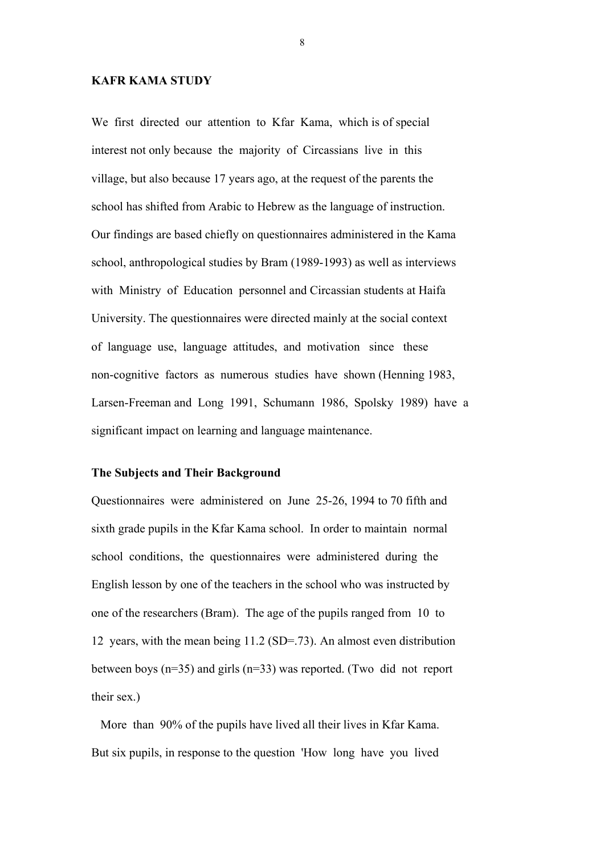#### KAFR KAMA STUDY

We first directed our attention to Kfar Kama, which is of special interest not only because the majority of Circassians live in this village, but also because 17 years ago, at the request of the parents the school has shifted from Arabic to Hebrew as the language of instruction. Our findings are based chiefly on questionnaires administered in the Kama school, anthropological studies by Bram (1989-1993) as well as interviews with Ministry of Education personnel and Circassian students at Haifa University. The questionnaires were directed mainly at the social context of language use, language attitudes, and motivation since these non-cognitive factors as numerous studies have shown (Henning 1983, Larsen-Freeman and Long 1991, Schumann 1986, Spolsky 1989) have a significant impact on learning and language maintenance.

#### The Subjects and Their Background

Questionnaires were administered on June 25-26, 1994 to 70 fifth and sixth grade pupils in the Kfar Kama school. In order to maintain normal school conditions, the questionnaires were administered during the English lesson by one of the teachers in the school who was instructed by one of the researchers (Bram). The age of the pupils ranged from 10 to 12 years, with the mean being 11.2 (SD=.73). An almost even distribution between boys (n=35) and girls (n=33) was reported. (Two did not report their sex.)

 More than 90% of the pupils have lived all their lives in Kfar Kama. But six pupils, in response to the question 'How long have you lived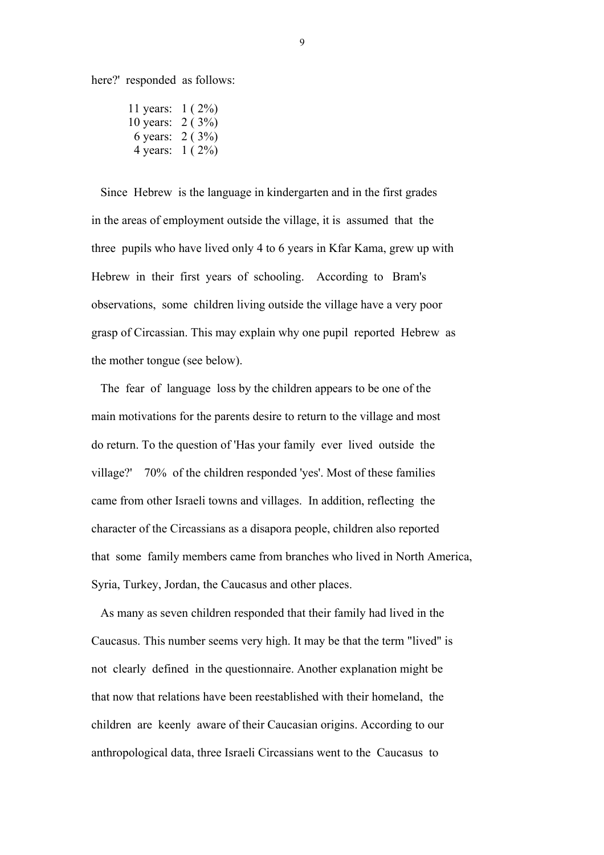here?' responded as follows:

11 years: 1 ( 2%) 10 years: 2 ( 3%) 6 years: 2 ( 3%) 4 years: 1 ( 2%)

 Since Hebrew is the language in kindergarten and in the first grades in the areas of employment outside the village, it is assumed that the three pupils who have lived only 4 to 6 years in Kfar Kama, grew up with Hebrew in their first years of schooling. According to Bram's observations, some children living outside the village have a very poor grasp of Circassian. This may explain why one pupil reported Hebrew as the mother tongue (see below).

 The fear of language loss by the children appears to be one of the main motivations for the parents desire to return to the village and most do return. To the question of 'Has your family ever lived outside the village?' 70% of the children responded 'yes'. Most of these families came from other Israeli towns and villages. In addition, reflecting the character of the Circassians as a disapora people, children also reported that some family members came from branches who lived in North America, Syria, Turkey, Jordan, the Caucasus and other places.

 As many as seven children responded that their family had lived in the Caucasus. This number seems very high. It may be that the term "lived" is not clearly defined in the questionnaire. Another explanation might be that now that relations have been reestablished with their homeland, the children are keenly aware of their Caucasian origins. According to our anthropological data, three Israeli Circassians went to the Caucasus to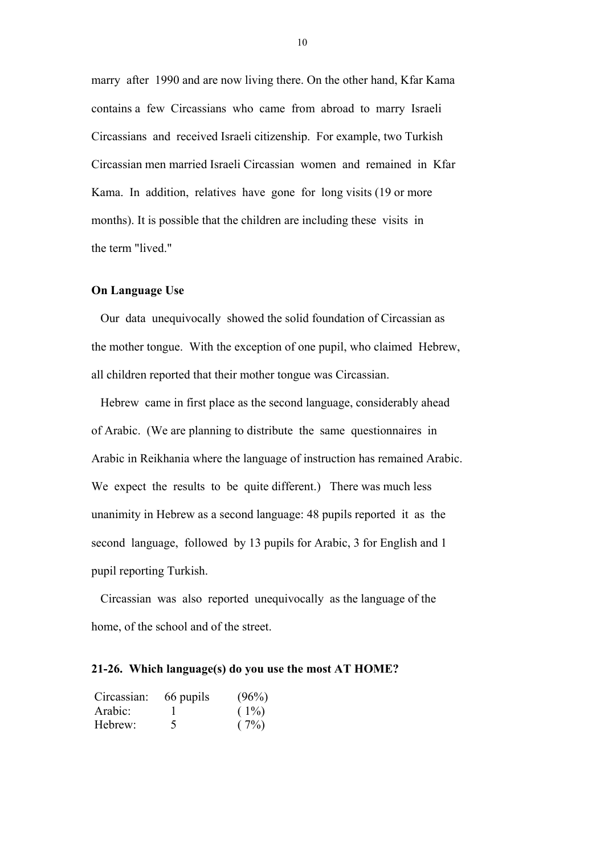marry after 1990 and are now living there. On the other hand, Kfar Kama contains a few Circassians who came from abroad to marry Israeli Circassians and received Israeli citizenship. For example, two Turkish Circassian men married Israeli Circassian women and remained in Kfar Kama. In addition, relatives have gone for long visits (19 or more months). It is possible that the children are including these visits in the term "lived."

### On Language Use

 Our data unequivocally showed the solid foundation of Circassian as the mother tongue. With the exception of one pupil, who claimed Hebrew, all children reported that their mother tongue was Circassian.

 Hebrew came in first place as the second language, considerably ahead of Arabic. (We are planning to distribute the same questionnaires in Arabic in Reikhania where the language of instruction has remained Arabic. We expect the results to be quite different.) There was much less unanimity in Hebrew as a second language: 48 pupils reported it as the second language, followed by 13 pupils for Arabic, 3 for English and 1 pupil reporting Turkish.

 Circassian was also reported unequivocally as the language of the home, of the school and of the street.

#### 21-26. Which language(s) do you use the most AT HOME?

| Circassian: | 66 pupils | (96%)   |
|-------------|-----------|---------|
| Arabic:     |           | $(1\%)$ |
| Hebrew:     | $\Delta$  | (7%)    |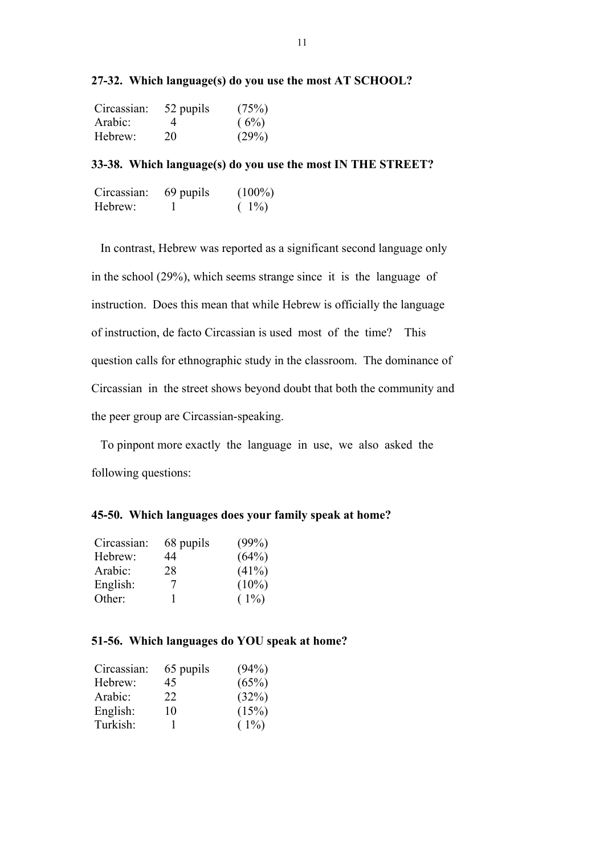| 27-32. Which language(s) do you use the most AT SCHOOL? |  |
|---------------------------------------------------------|--|
|---------------------------------------------------------|--|

| Circassian: | 52 pupils | (75%) |
|-------------|-----------|-------|
| Arabic:     | 4         | (6%)  |
| Hebrew:     | 20        | (29%) |

## 33-38. Which language(s) do you use the most IN THE STREET?

| Circassian: | 69 pupils | $(100\%)$ |
|-------------|-----------|-----------|
| Hebrew:     |           | $(1\%)$   |

 In contrast, Hebrew was reported as a significant second language only in the school (29%), which seems strange since it is the language of instruction. Does this mean that while Hebrew is officially the language of instruction, de facto Circassian is used most of the time? This question calls for ethnographic study in the classroom. The dominance of Circassian in the street shows beyond doubt that both the community and the peer group are Circassian-speaking.

 To pinpont more exactly the language in use, we also asked the following questions:

### 45-50. Which languages does your family speak at home?

| 68 pupils | (99%)    |
|-----------|----------|
| 44        | (64%)    |
| 28        | (41%)    |
| 7         | $(10\%)$ |
|           | $(1\%)$  |
|           |          |

## 51-56. Which languages do YOU speak at home?

| Circassian: | 65 pupils | (94%)   |
|-------------|-----------|---------|
| Hebrew:     | 45        | (65%)   |
| Arabic:     | 22        | (32%)   |
| English:    | 10        | (15%)   |
| Turkish:    |           | $(1\%)$ |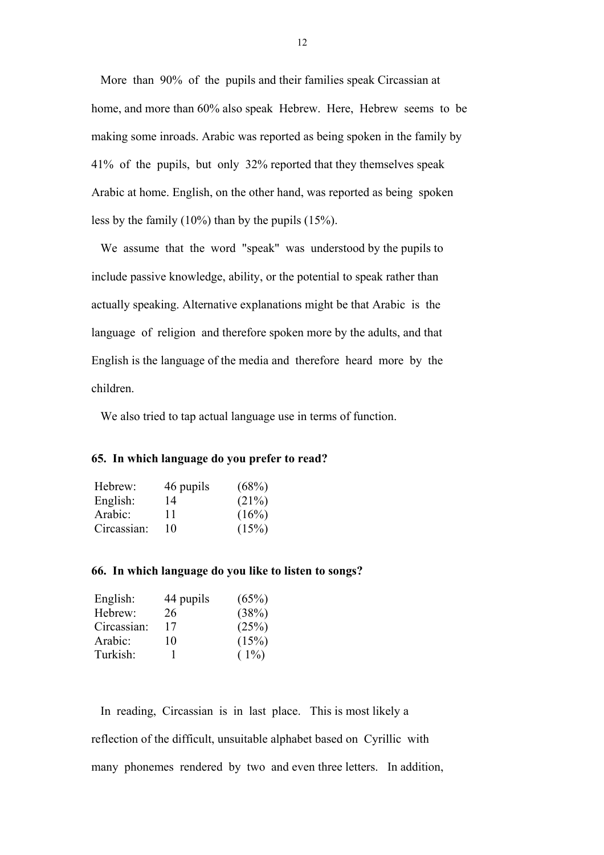More than 90% of the pupils and their families speak Circassian at home, and more than 60% also speak Hebrew. Here, Hebrew seems to be making some inroads. Arabic was reported as being spoken in the family by 41% of the pupils, but only 32% reported that they themselves speak Arabic at home. English, on the other hand, was reported as being spoken less by the family (10%) than by the pupils (15%).

 We assume that the word "speak" was understood by the pupils to include passive knowledge, ability, or the potential to speak rather than actually speaking. Alternative explanations might be that Arabic is the language of religion and therefore spoken more by the adults, and that English is the language of the media and therefore heard more by the children.

We also tried to tap actual language use in terms of function.

#### 65. In which language do you prefer to read?

| Hebrew:     | 46 pupils | (68%) |
|-------------|-----------|-------|
| English:    | 14        | (21%) |
| Arabic:     | 11        | (16%) |
| Circassian: | 10        | (15%) |

### 66. In which language do you like to listen to songs?

| English:    | 44 pupils | (65%)   |
|-------------|-----------|---------|
| Hebrew:     | 26        | (38%)   |
| Circassian: | 17        | (25%)   |
| Arabic:     | 10        | (15%)   |
| Turkish:    |           | $(1\%)$ |

 In reading, Circassian is in last place. This is most likely a reflection of the difficult, unsuitable alphabet based on Cyrillic with many phonemes rendered by two and even three letters. In addition,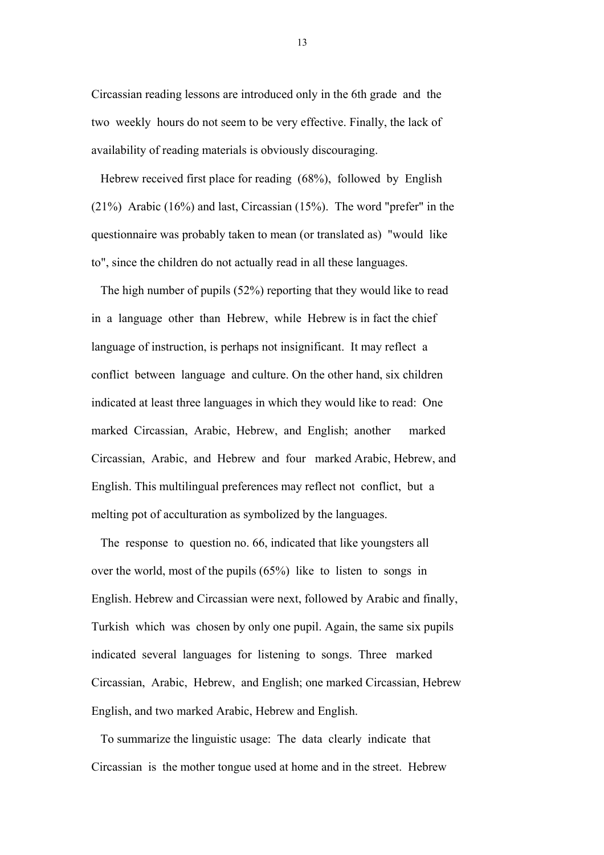Circassian reading lessons are introduced only in the 6th grade and the two weekly hours do not seem to be very effective. Finally, the lack of availability of reading materials is obviously discouraging.

 Hebrew received first place for reading (68%), followed by English (21%) Arabic (16%) and last, Circassian (15%). The word "prefer" in the questionnaire was probably taken to mean (or translated as) "would like to", since the children do not actually read in all these languages.

 The high number of pupils (52%) reporting that they would like to read in a language other than Hebrew, while Hebrew is in fact the chief language of instruction, is perhaps not insignificant. It may reflect a conflict between language and culture. On the other hand, six children indicated at least three languages in which they would like to read: One marked Circassian, Arabic, Hebrew, and English; another marked Circassian, Arabic, and Hebrew and four marked Arabic, Hebrew, and English. This multilingual preferences may reflect not conflict, but a melting pot of acculturation as symbolized by the languages.

 The response to question no. 66, indicated that like youngsters all over the world, most of the pupils (65%) like to listen to songs in English. Hebrew and Circassian were next, followed by Arabic and finally, Turkish which was chosen by only one pupil. Again, the same six pupils indicated several languages for listening to songs. Three marked Circassian, Arabic, Hebrew, and English; one marked Circassian, Hebrew English, and two marked Arabic, Hebrew and English.

 To summarize the linguistic usage: The data clearly indicate that Circassian is the mother tongue used at home and in the street. Hebrew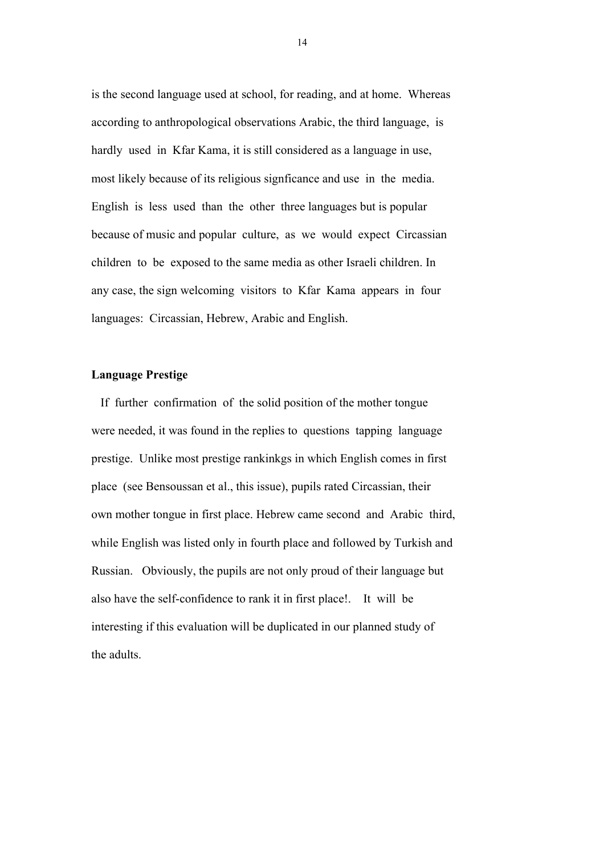is the second language used at school, for reading, and at home. Whereas according to anthropological observations Arabic, the third language, is hardly used in Kfar Kama, it is still considered as a language in use, most likely because of its religious signficance and use in the media. English is less used than the other three languages but is popular because of music and popular culture, as we would expect Circassian children to be exposed to the same media as other Israeli children. In any case, the sign welcoming visitors to Kfar Kama appears in four languages: Circassian, Hebrew, Arabic and English.

# Language Prestige

 If further confirmation of the solid position of the mother tongue were needed, it was found in the replies to questions tapping language prestige. Unlike most prestige rankinkgs in which English comes in first place (see Bensoussan et al., this issue), pupils rated Circassian, their own mother tongue in first place. Hebrew came second and Arabic third, while English was listed only in fourth place and followed by Turkish and Russian. Obviously, the pupils are not only proud of their language but also have the self-confidence to rank it in first place!. It will be interesting if this evaluation will be duplicated in our planned study of the adults.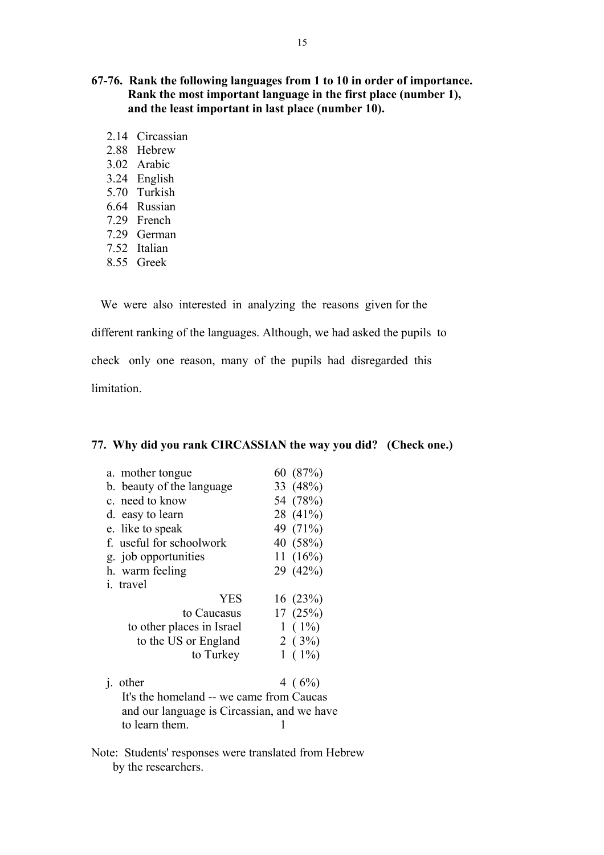# 67-76. Rank the following languages from 1 to 10 in order of importance. Rank the most important language in the first place (number 1), and the least important in last place (number 10).

- 2.14 Circassian
- 2.88 Hebrew
- 3.02 Arabic
- 3.24 English
- 5.70 Turkish
- 6.64 Russian
- 7.29 French
- 7.29 German
- 7.52 Italian
- 8.55 Greek

We were also interested in analyzing the reasons given for the

different ranking of the languages. Although, we had asked the pupils to

check only one reason, many of the pupils had disregarded this

limitation.

# 77. Why did you rank CIRCASSIAN the way you did? (Check one.)

| a. mother tongue                            | 60(87%)     |
|---------------------------------------------|-------------|
| b. beauty of the language                   | 33 (48%)    |
| c. need to know                             | 54 (78%)    |
| d. easy to learn                            | 28 (41%)    |
| e. like to speak                            | 49 (71%)    |
| f. useful for schoolwork                    | 40 (58%)    |
| g. job opportunities                        | 11 $(16%)$  |
| h. warm feeling                             | 29 (42%)    |
| <i>i</i> travel                             |             |
| <b>YES</b>                                  | 16(23%)     |
| to Caucasus                                 | 17(25%)     |
| to other places in Israel                   | $1(1\%)$    |
| to the US or England                        | 2(3%)       |
| to Turkey                                   | $1(1\%)$    |
|                                             |             |
| other<br>1.                                 | 4 ( $6\%$ ) |
| It's the homeland -- we came from Caucas    |             |
| and our language is Circassian, and we have |             |
|                                             |             |

Note: Students' responses were translated from Hebrew by the researchers.

to learn them. 1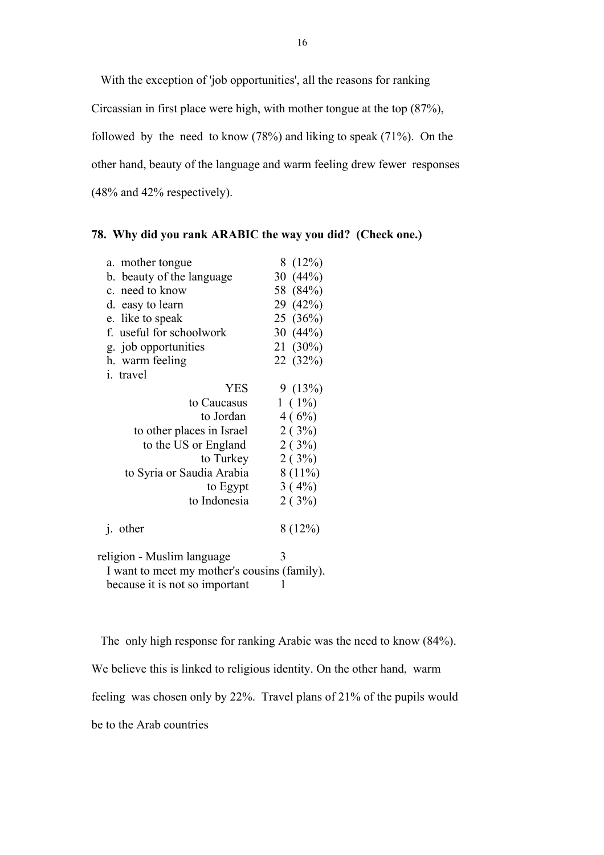With the exception of 'job opportunities', all the reasons for ranking Circassian in first place were high, with mother tongue at the top (87%), followed by the need to know (78%) and liking to speak (71%). On the other hand, beauty of the language and warm feeling drew fewer responses (48% and 42% respectively).

## 78. Why did you rank ARABIC the way you did? (Check one.)

| a. mother tongue                                                                                                                                                                                                                                                                                 | 8(12%)         |
|--------------------------------------------------------------------------------------------------------------------------------------------------------------------------------------------------------------------------------------------------------------------------------------------------|----------------|
| b. beauty of the language                                                                                                                                                                                                                                                                        | 30 $(44\%)$    |
| c. need to know                                                                                                                                                                                                                                                                                  | 58 (84%)       |
| d. easy to learn                                                                                                                                                                                                                                                                                 | 29 (42%)       |
| e. like to speak                                                                                                                                                                                                                                                                                 | 25(36%)        |
| f. useful for schoolwork                                                                                                                                                                                                                                                                         | 30 $(44%)$     |
| g. job opportunities                                                                                                                                                                                                                                                                             | 21 (30%)       |
| h. warm feeling                                                                                                                                                                                                                                                                                  | 22 (32%)       |
| i. travel                                                                                                                                                                                                                                                                                        |                |
| <b>YES</b>                                                                                                                                                                                                                                                                                       | 9(13%)         |
| to Caucasus                                                                                                                                                                                                                                                                                      | $1(1\%)$       |
| to Jordan                                                                                                                                                                                                                                                                                        | 4(6%)          |
| to other places in Israel                                                                                                                                                                                                                                                                        | 2(3%)          |
| to the US or England                                                                                                                                                                                                                                                                             | 2(3%)          |
| to Turkey                                                                                                                                                                                                                                                                                        | 2(3%)          |
| to Syria or Saudia Arabia                                                                                                                                                                                                                                                                        | $8(11\%)$      |
| to Egypt                                                                                                                                                                                                                                                                                         | $3(4\%)$       |
| to Indonesia                                                                                                                                                                                                                                                                                     | 2(3%)          |
|                                                                                                                                                                                                                                                                                                  |                |
| <i>i</i> . other                                                                                                                                                                                                                                                                                 | 8(12%)         |
|                                                                                                                                                                                                                                                                                                  |                |
| religion - Muslim language                                                                                                                                                                                                                                                                       | 3              |
| $\mathbf{T}$ and $\mathbf{I}$ and $\mathbf{I}$ and $\mathbf{I}$ and $\mathbf{I}$ and $\mathbf{I}$ and $\mathbf{I}$ and $\mathbf{I}$ and $\mathbf{I}$ and $\mathbf{I}$ and $\mathbf{I}$ and $\mathbf{I}$ and $\mathbf{I}$ and $\mathbf{I}$ and $\mathbf{I}$ and $\mathbf{I}$ and $\mathbf{I}$ and | $\angle C = 1$ |

 I want to meet my mother's cousins (family). because it is not so important  $1$ 

 The only high response for ranking Arabic was the need to know (84%). We believe this is linked to religious identity. On the other hand, warm

feeling was chosen only by 22%. Travel plans of 21% of the pupils would

be to the Arab countries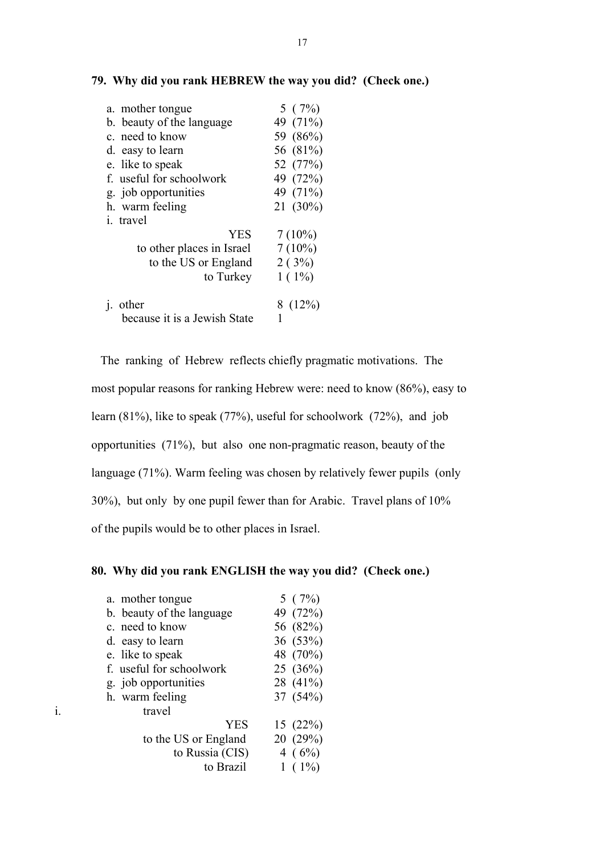| 5(7%)     |
|-----------|
| 49 (71%)  |
| 59 (86%)  |
| 56 (81%)  |
| 52 (77%)  |
| 49 (72%)  |
| 49 (71%)  |
| 21 (30%)  |
|           |
| $7(10\%)$ |
| $7(10\%)$ |
| 2(3%)     |
| $1(1\%)$  |
|           |
| 8(12%)    |
|           |
|           |

### 79. Why did you rank HEBREW the way you did? (Check one.)

 The ranking of Hebrew reflects chiefly pragmatic motivations. The most popular reasons for ranking Hebrew were: need to know (86%), easy to learn (81%), like to speak (77%), useful for schoolwork (72%), and job opportunities (71%), but also one non-pragmatic reason, beauty of the language (71%). Warm feeling was chosen by relatively fewer pupils (only 30%), but only by one pupil fewer than for Arabic. Travel plans of 10% of the pupils would be to other places in Israel.

## 80. Why did you rank ENGLISH the way you did? (Check one.)

| a. mother tongue          | 5(7%)    |
|---------------------------|----------|
| b. beauty of the language | 49 (72%) |
| c. need to know           | 56 (82%) |
| d. easy to learn          | 36(53%)  |
| e. like to speak          | 48 (70%) |
| f. useful for schoolwork  | 25(36%)  |
| g. job opportunities      | 28 (41%) |
| h. warm feeling           | 37 (54%) |
| travel                    |          |
| <b>YES</b>                | 15(22%)  |
| to the US or England      | 20(29%)  |
| to Russia (CIS)           | 4 $(6%)$ |
| to Brazil                 | $(1\%)$  |
|                           |          |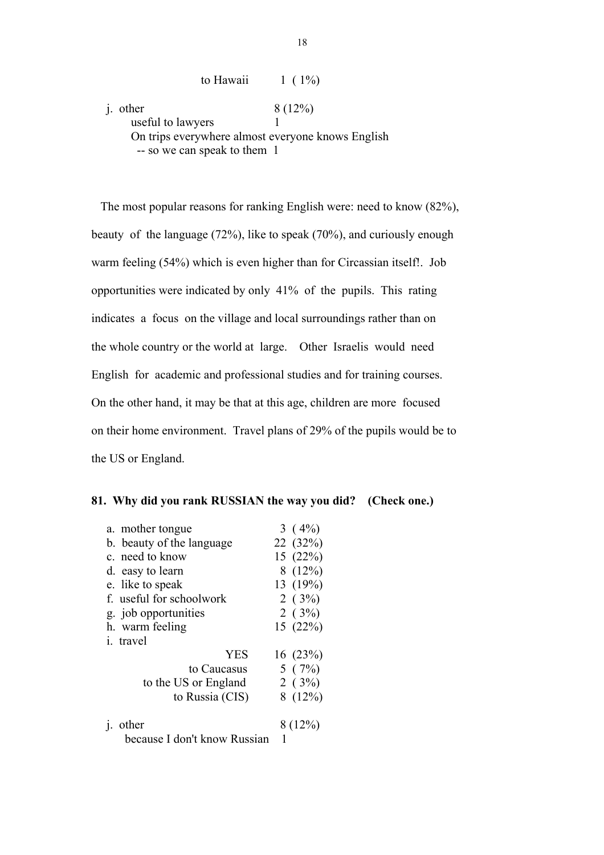to Hawaii  $1 ( 1\%)$ j. other  $8 (12\%)$ useful to lawyers 1 On trips everywhere almost everyone knows English -- so we can speak to them 1

 The most popular reasons for ranking English were: need to know (82%), beauty of the language (72%), like to speak (70%), and curiously enough warm feeling (54%) which is even higher than for Circassian itself!. Job opportunities were indicated by only 41% of the pupils. This rating indicates a focus on the village and local surroundings rather than on the whole country or the world at large. Other Israelis would need English for academic and professional studies and for training courses. On the other hand, it may be that at this age, children are more focused on their home environment. Travel plans of 29% of the pupils would be to the US or England.

|  | 81. Why did you rank RUSSIAN the way you did? (Check one.) |  |
|--|------------------------------------------------------------|--|
|  |                                                            |  |

| a. mother tongue             | 3 $(4\%)$ |
|------------------------------|-----------|
| b. beauty of the language    | 22 (32%)  |
| c. need to know              | 15(22%)   |
| d. easy to learn             | 8(12%)    |
| e. like to speak             | 13 (19%)  |
| f. useful for schoolwork     | 2(3%)     |
| g. job opportunities         | 2(3%)     |
| h. warm feeling              | 15(22%)   |
| <i>i</i> travel              |           |
| <b>YES</b>                   | 16(23%)   |
| to Caucasus                  | 5(7%)     |
| to the US or England         | 2(3%)     |
| to Russia (CIS)              | 8(12%)    |
|                              |           |
| other<br>$\mathbf{1}$ .      | 8(12%)    |
| because I don't know Russian | 1         |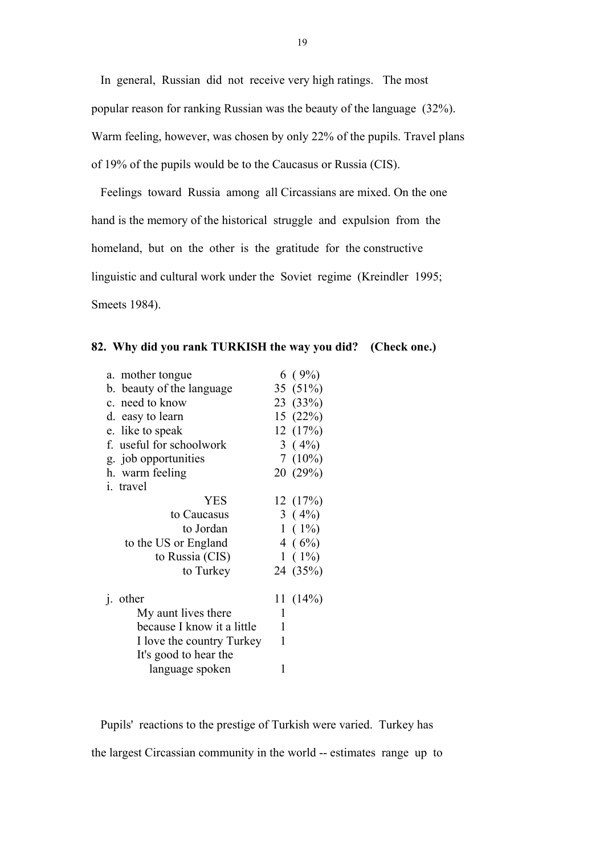In general, Russian did not receive very high ratings. The most popular reason for ranking Russian was the beauty of the language (32%). Warm feeling, however, was chosen by only 22% of the pupils. Travel plans of 19% of the pupils would be to the Caucasus or Russia (CIS).

 Feelings toward Russia among all Circassians are mixed. On the one hand is the memory of the historical struggle and expulsion from the homeland, but on the other is the gratitude for the constructive linguistic and cultural work under the Soviet regime (Kreindler 1995; Smeets 1984).

| 6(9%)                          |
|--------------------------------|
| 35 (51%)                       |
| 23 (33%)                       |
| 15(22%)                        |
| 12(17%)                        |
| 3(4%)                          |
| 7(10%)                         |
| 20 (29%)                       |
|                                |
| 12(17%)                        |
| 3(4%)                          |
| $1(1\%)$                       |
| 4(6%)                          |
| $1(1\%)$                       |
| 24 (35%)                       |
| 11 $(14%)$                     |
| 1                              |
| 1                              |
| 1<br>I love the country Turkey |
|                                |
| 1                              |
|                                |

### 82. Why did you rank TURKISH the way you did? (Check one.)

 Pupils' reactions to the prestige of Turkish were varied. Turkey has the largest Circassian community in the world -- estimates range up to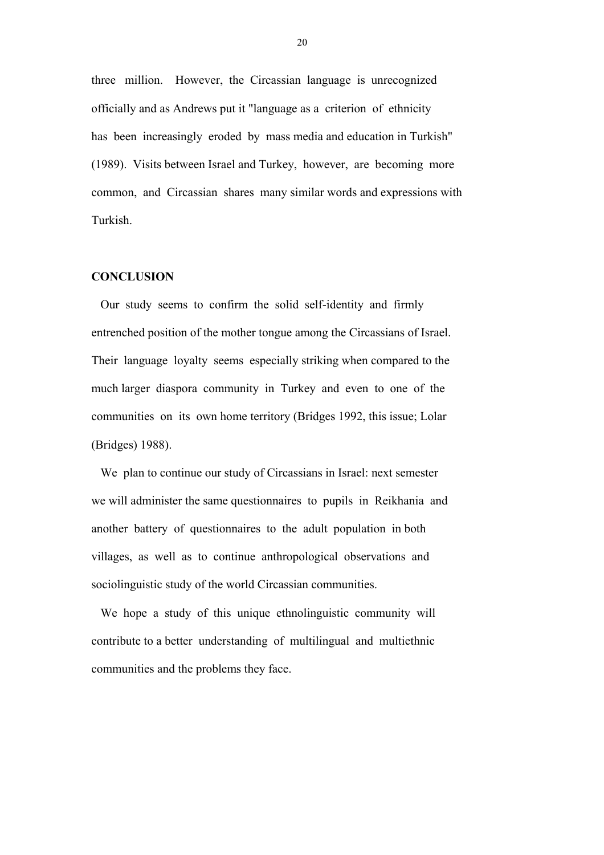three million. However, the Circassian language is unrecognized officially and as Andrews put it "language as a criterion of ethnicity has been increasingly eroded by mass media and education in Turkish" (1989). Visits between Israel and Turkey, however, are becoming more common, and Circassian shares many similar words and expressions with Turkish.

### **CONCLUSION**

 Our study seems to confirm the solid self-identity and firmly entrenched position of the mother tongue among the Circassians of Israel. Their language loyalty seems especially striking when compared to the much larger diaspora community in Turkey and even to one of the communities on its own home territory (Bridges 1992, this issue; Lolar (Bridges) 1988).

 We plan to continue our study of Circassians in Israel: next semester we will administer the same questionnaires to pupils in Reikhania and another battery of questionnaires to the adult population in both villages, as well as to continue anthropological observations and sociolinguistic study of the world Circassian communities.

 We hope a study of this unique ethnolinguistic community will contribute to a better understanding of multilingual and multiethnic communities and the problems they face.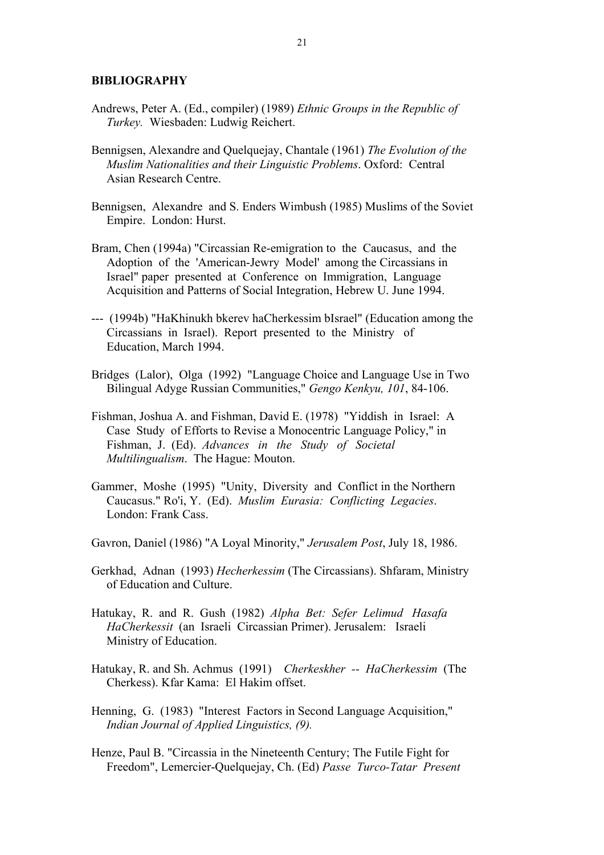### BIBLIOGRAPHY

- Andrews, Peter A. (Ed., compiler) (1989) Ethnic Groups in the Republic of Turkey. Wiesbaden: Ludwig Reichert.
- Bennigsen, Alexandre and Quelquejay, Chantale (1961) The Evolution of the Muslim Nationalities and their Linguistic Problems. Oxford: Central Asian Research Centre.
- Bennigsen, Alexandre and S. Enders Wimbush (1985) Muslims of the Soviet Empire. London: Hurst.
- Bram, Chen (1994a) "Circassian Re-emigration to the Caucasus, and the Adoption of the 'American-Jewry Model' among the Circassians in Israel" paper presented at Conference on Immigration, Language Acquisition and Patterns of Social Integration, Hebrew U. June 1994.
- --- (1994b) "HaKhinukh bkerev haCherkessim bIsrael" (Education among the Circassians in Israel). Report presented to the Ministry of Education, March 1994.
- Bridges (Lalor), Olga (1992) "Language Choice and Language Use in Two Bilingual Adyge Russian Communities," Gengo Kenkyu, 101, 84-106.
- Fishman, Joshua A. and Fishman, David E. (1978) "Yiddish in Israel: A Case Study of Efforts to Revise a Monocentric Language Policy," in Fishman, J. (Ed). Advances in the Study of Societal Multilingualism. The Hague: Mouton.
- Gammer, Moshe (1995) "Unity, Diversity and Conflict in the Northern Caucasus." Ro'i, Y. (Ed). Muslim Eurasia: Conflicting Legacies. London: Frank Cass.
- Gavron, Daniel (1986) "A Loyal Minority," Jerusalem Post, July 18, 1986.
- Gerkhad, Adnan (1993) Hecherkessim (The Circassians). Shfaram, Ministry of Education and Culture.
- Hatukay, R. and R. Gush (1982) Alpha Bet: Sefer Lelimud Hasafa HaCherkessit (an Israeli Circassian Primer). Jerusalem: Israeli Ministry of Education.
- Hatukay, R. and Sh. Achmus (1991) Cherkeskher -- HaCherkessim (The Cherkess). Kfar Kama: El Hakim offset.
- Henning, G. (1983) "Interest Factors in Second Language Acquisition," Indian Journal of Applied Linguistics, (9).
- Henze, Paul B. "Circassia in the Nineteenth Century; The Futile Fight for Freedom", Lemercier-Quelquejay, Ch. (Ed) Passe Turco-Tatar Present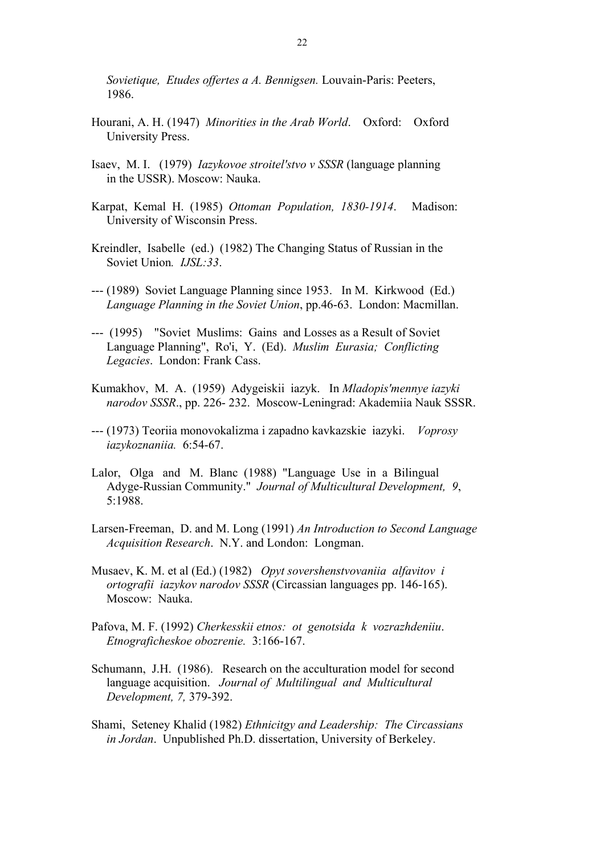Sovietique, Etudes offertes a A. Bennigsen. Louvain-Paris: Peeters, 1986.

- Hourani, A. H. (1947) Minorities in the Arab World. Oxford: Oxford University Press.
- Isaev, M. I. (1979) Iazykovoe stroitel'stvo v SSSR (language planning in the USSR). Moscow: Nauka.
- Karpat, Kemal H. (1985) Ottoman Population, 1830-1914. Madison: University of Wisconsin Press.
- Kreindler, Isabelle (ed.) (1982) The Changing Status of Russian in the Soviet Union. *IJSL:33*.
- --- (1989) Soviet Language Planning since 1953. In M. Kirkwood (Ed.) Language Planning in the Soviet Union, pp.46-63. London: Macmillan.
- --- (1995) "Soviet Muslims: Gains and Losses as a Result of Soviet Language Planning", Ro'i, Y. (Ed). Muslim Eurasia; Conflicting Legacies. London: Frank Cass.
- Kumakhov, M. A. (1959) Adygeiskii iazyk. In Mladopis'mennye iazyki narodov SSSR., pp. 226- 232. Moscow-Leningrad: Akademiia Nauk SSSR.
- --- (1973) Teoriia monovokalizma i zapadno kavkazskie iazyki. Voprosy iazykoznaniia. 6:54-67.
- Lalor, Olga and M. Blanc (1988) "Language Use in a Bilingual Adyge-Russian Community." Journal of Multicultural Development, 9, 5:1988.
- Larsen-Freeman, D. and M. Long (1991) An Introduction to Second Language Acquisition Research. N.Y. and London: Longman.
- Musaev, K. M. et al (Ed.) (1982) Opyt sovershenstvovaniia alfavitov i ortografii iazykov narodov SSSR (Circassian languages pp. 146-165). Moscow: Nauka.
- Pafova, M. F. (1992) Cherkesskii etnos: ot genotsida k vozrazhdeniiu. Etnograficheskoe obozrenie. 3:166-167.
- Schumann, J.H. (1986). Research on the acculturation model for second language acquisition. Journal of Multilingual and Multicultural Development, 7, 379-392.
- Shami, Seteney Khalid (1982) Ethnicitgy and Leadership: The Circassians in Jordan. Unpublished Ph.D. dissertation, University of Berkeley.